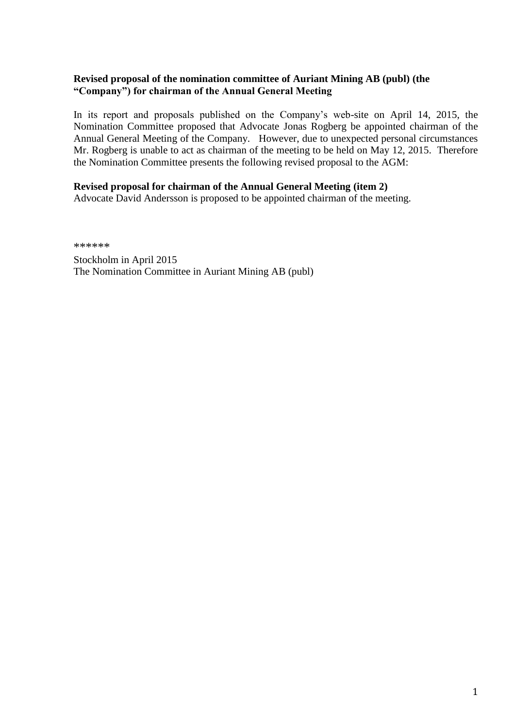# **Revised proposal of the nomination committee of Auriant Mining AB (publ) (the "Company") for chairman of the Annual General Meeting**

In its report and proposals published on the Company's web-site on April 14, 2015, the Nomination Committee proposed that Advocate Jonas Rogberg be appointed chairman of the Annual General Meeting of the Company. However, due to unexpected personal circumstances Mr. Rogberg is unable to act as chairman of the meeting to be held on May 12, 2015. Therefore the Nomination Committee presents the following revised proposal to the AGM:

### **Revised proposal for chairman of the Annual General Meeting (item 2)**

Advocate David Andersson is proposed to be appointed chairman of the meeting.

\*\*\*\*\*\*

Stockholm in April 2015 The Nomination Committee in Auriant Mining AB (publ)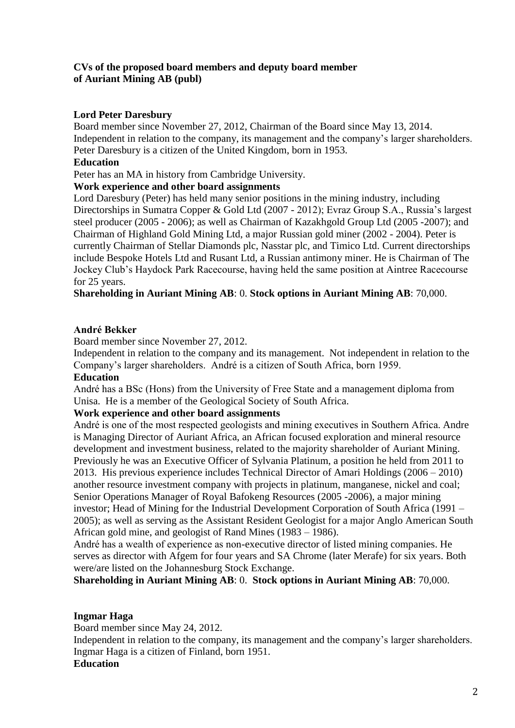# **CVs of the proposed board members and deputy board member of Auriant Mining AB (publ)**

### **Lord Peter Daresbury**

Board member since November 27, 2012, Chairman of the Board since May 13, 2014. Independent in relation to the company, its management and the company's larger shareholders. Peter Daresbury is a citizen of the United Kingdom, born in 1953.

#### **Education**

Peter has an MA in history from Cambridge University.

### **Work experience and other board assignments**

Lord Daresbury (Peter) has held many senior positions in the mining industry, including Directorships in Sumatra Copper & Gold Ltd (2007 - 2012); Evraz Group S.A., Russia's largest steel producer (2005 - 2006); as well as Chairman of Kazakhgold Group Ltd (2005 -2007); and Chairman of Highland Gold Mining Ltd, a major Russian gold miner (2002 - 2004). Peter is currently Chairman of Stellar Diamonds plc, Nasstar plc, and Timico Ltd. Current directorships include Bespoke Hotels Ltd and Rusant Ltd, a Russian antimony miner. He is Chairman of The Jockey Club's Haydock Park Racecourse, having held the same position at Aintree Racecourse for 25 years.

### **Shareholding in Auriant Mining AB**: 0. **Stock options in Auriant Mining AB**: 70,000.

### **André Bekker**

Board member since November 27, 2012.

Independent in relation to the company and its management. Not independent in relation to the Company's larger shareholders. André is a citizen of South Africa, born 1959.

#### **Education**

André has a BSc (Hons) from the University of Free State and a management diploma from Unisa. He is a member of the Geological Society of South Africa.

# **Work experience and other board assignments**

André is one of the most respected geologists and mining executives in Southern Africa. Andre is Managing Director of Auriant Africa, an African focused exploration and mineral resource development and investment business, related to the majority shareholder of Auriant Mining. Previously he was an Executive Officer of Sylvania Platinum, a position he held from 2011 to 2013. His previous experience includes Technical Director of Amari Holdings (2006 – 2010) another resource investment company with projects in platinum, manganese, nickel and coal; Senior Operations Manager of Royal Bafokeng Resources (2005 -2006), a major mining investor; Head of Mining for the Industrial Development Corporation of South Africa (1991 – 2005); as well as serving as the Assistant Resident Geologist for a major Anglo American South African gold mine, and geologist of Rand Mines (1983 – 1986).

André has a wealth of experience as non-executive director of listed mining companies. He serves as director with Afgem for four years and SA Chrome (later Merafe) for six years. Both were/are listed on the Johannesburg Stock Exchange.

**Shareholding in Auriant Mining AB**: 0. **Stock options in Auriant Mining AB**: 70,000.

# **Ingmar Haga**

Board member since May 24, 2012.

Independent in relation to the company, its management and the company's larger shareholders. Ingmar Haga is a citizen of Finland, born 1951.

### **Education**